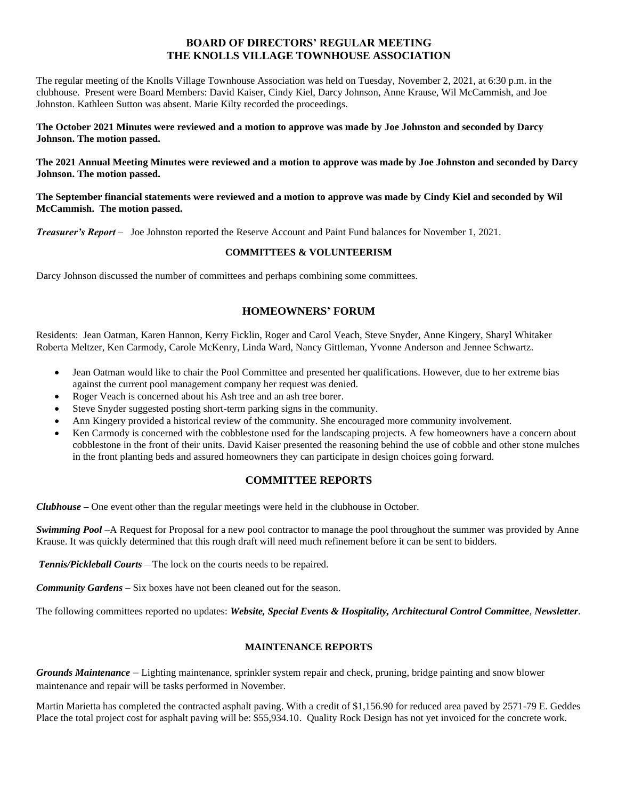# **BOARD OF DIRECTORS' REGULAR MEETING THE KNOLLS VILLAGE TOWNHOUSE ASSOCIATION**

The regular meeting of the Knolls Village Townhouse Association was held on Tuesday, November 2, 2021, at 6:30 p.m. in the clubhouse. Present were Board Members: David Kaiser, Cindy Kiel, Darcy Johnson, Anne Krause, Wil McCammish, and Joe Johnston. Kathleen Sutton was absent. Marie Kilty recorded the proceedings.

**The October 2021 Minutes were reviewed and a motion to approve was made by Joe Johnston and seconded by Darcy Johnson. The motion passed.**

**The 2021 Annual Meeting Minutes were reviewed and a motion to approve was made by Joe Johnston and seconded by Darcy Johnson. The motion passed.**

**The September financial statements were reviewed and a motion to approve was made by Cindy Kiel and seconded by Wil McCammish. The motion passed.**

*Treasurer's Report* – Joe Johnston reported the Reserve Account and Paint Fund balances for November 1, 2021.

### **COMMITTEES & VOLUNTEERISM**

Darcy Johnson discussed the number of committees and perhaps combining some committees.

# **HOMEOWNERS' FORUM**

Residents: Jean Oatman, Karen Hannon, Kerry Ficklin, Roger and Carol Veach, Steve Snyder, Anne Kingery, Sharyl Whitaker Roberta Meltzer, Ken Carmody, Carole McKenry, Linda Ward, Nancy Gittleman, Yvonne Anderson and Jennee Schwartz.

- Jean Oatman would like to chair the Pool Committee and presented her qualifications. However, due to her extreme bias against the current pool management company her request was denied.
- Roger Veach is concerned about his Ash tree and an ash tree borer.
- Steve Snyder suggested posting short-term parking signs in the community.
- Ann Kingery provided a historical review of the community. She encouraged more community involvement.
- Ken Carmody is concerned with the cobblestone used for the landscaping projects. A few homeowners have a concern about cobblestone in the front of their units. David Kaiser presented the reasoning behind the use of cobble and other stone mulches in the front planting beds and assured homeowners they can participate in design choices going forward.

# **COMMITTEE REPORTS**

*Clubhouse* **–** One event other than the regular meetings were held in the clubhouse in October.

*Swimming Pool* –A Request for Proposal for a new pool contractor to manage the pool throughout the summer was provided by Anne Krause. It was quickly determined that this rough draft will need much refinement before it can be sent to bidders.

*Tennis/Pickleball Courts* – The lock on the courts needs to be repaired.

*Community Gardens* – Six boxes have not been cleaned out for the season.

The following committees reported no updates: *Website, Special Events & Hospitality, Architectural Control Committee*, *Newsletter*.

#### **MAINTENANCE REPORTS**

*Grounds Maintenance –* Lighting maintenance, sprinkler system repair and check, pruning, bridge painting and snow blower maintenance and repair will be tasks performed in November.

Martin Marietta has completed the contracted asphalt paving. With a credit of \$1,156.90 for reduced area paved by 2571-79 E. Geddes Place the total project cost for asphalt paving will be: \$55,934.10. Quality Rock Design has not yet invoiced for the concrete work.